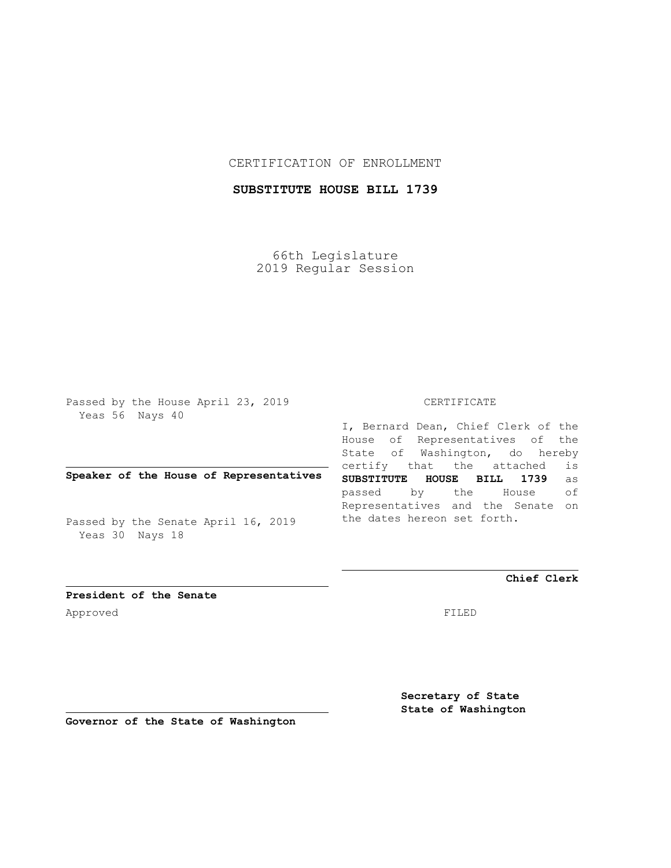## CERTIFICATION OF ENROLLMENT

# **SUBSTITUTE HOUSE BILL 1739**

66th Legislature 2019 Regular Session

Passed by the House April 23, 2019 Yeas 56 Nays 40

## **Speaker of the House of Representatives**

Passed by the Senate April 16, 2019 Yeas 30 Nays 18

#### CERTIFICATE

I, Bernard Dean, Chief Clerk of the House of Representatives of the State of Washington, do hereby certify that the attached is **SUBSTITUTE HOUSE BILL 1739** as passed by the House of Representatives and the Senate on the dates hereon set forth.

**Chief Clerk**

**President of the Senate** Approved FILED

**Secretary of State State of Washington**

**Governor of the State of Washington**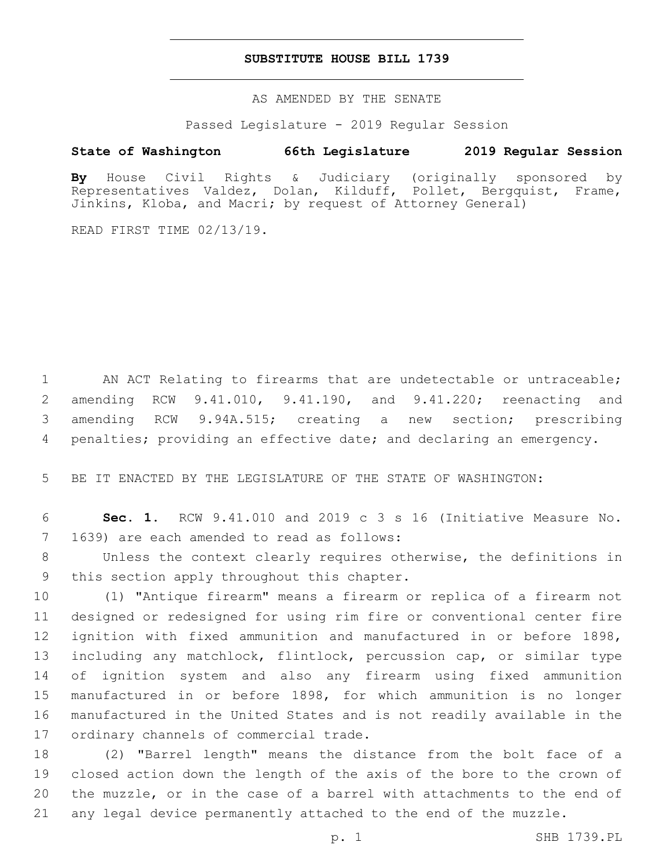### **SUBSTITUTE HOUSE BILL 1739**

AS AMENDED BY THE SENATE

Passed Legislature - 2019 Regular Session

# **State of Washington 66th Legislature 2019 Regular Session**

**By** House Civil Rights & Judiciary (originally sponsored by Representatives Valdez, Dolan, Kilduff, Pollet, Bergquist, Frame, Jinkins, Kloba, and Macri; by request of Attorney General)

READ FIRST TIME 02/13/19.

1 AN ACT Relating to firearms that are undetectable or untraceable; amending RCW 9.41.010, 9.41.190, and 9.41.220; reenacting and amending RCW 9.94A.515; creating a new section; prescribing penalties; providing an effective date; and declaring an emergency.

5 BE IT ENACTED BY THE LEGISLATURE OF THE STATE OF WASHINGTON:

6 **Sec. 1.** RCW 9.41.010 and 2019 c 3 s 16 (Initiative Measure No. 7 1639) are each amended to read as follows:

8 Unless the context clearly requires otherwise, the definitions in 9 this section apply throughout this chapter.

 (1) "Antique firearm" means a firearm or replica of a firearm not designed or redesigned for using rim fire or conventional center fire ignition with fixed ammunition and manufactured in or before 1898, including any matchlock, flintlock, percussion cap, or similar type of ignition system and also any firearm using fixed ammunition manufactured in or before 1898, for which ammunition is no longer manufactured in the United States and is not readily available in the 17 ordinary channels of commercial trade.

 (2) "Barrel length" means the distance from the bolt face of a closed action down the length of the axis of the bore to the crown of the muzzle, or in the case of a barrel with attachments to the end of any legal device permanently attached to the end of the muzzle.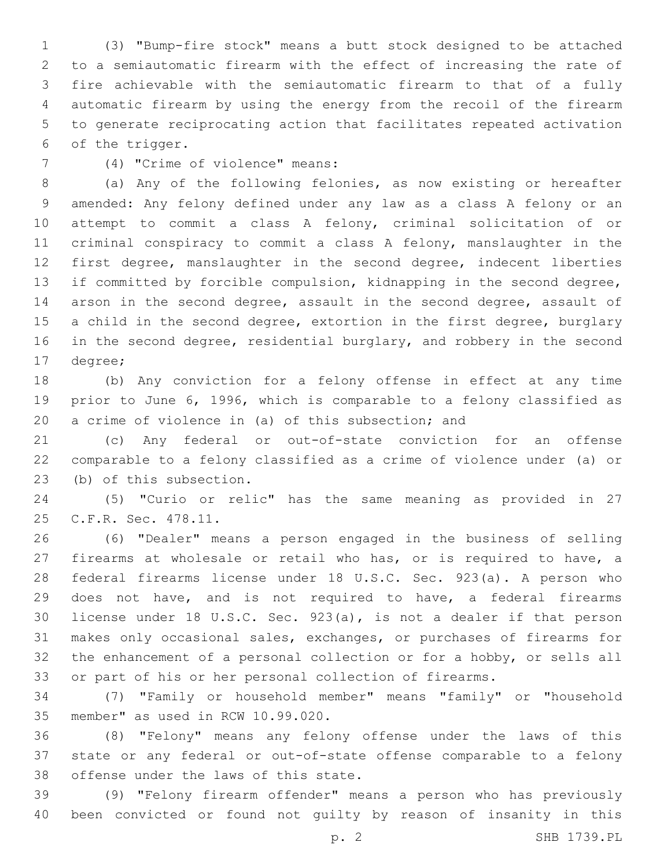(3) "Bump-fire stock" means a butt stock designed to be attached to a semiautomatic firearm with the effect of increasing the rate of fire achievable with the semiautomatic firearm to that of a fully automatic firearm by using the energy from the recoil of the firearm to generate reciprocating action that facilitates repeated activation 6 of the trigger.

(4) "Crime of violence" means:7

 (a) Any of the following felonies, as now existing or hereafter amended: Any felony defined under any law as a class A felony or an attempt to commit a class A felony, criminal solicitation of or criminal conspiracy to commit a class A felony, manslaughter in the first degree, manslaughter in the second degree, indecent liberties if committed by forcible compulsion, kidnapping in the second degree, arson in the second degree, assault in the second degree, assault of 15 a child in the second degree, extortion in the first degree, burglary 16 in the second degree, residential burglary, and robbery in the second 17 degree;

 (b) Any conviction for a felony offense in effect at any time prior to June 6, 1996, which is comparable to a felony classified as a crime of violence in (a) of this subsection; and

 (c) Any federal or out-of-state conviction for an offense comparable to a felony classified as a crime of violence under (a) or 23 (b) of this subsection.

 (5) "Curio or relic" has the same meaning as provided in 27 25 C.F.R. Sec. 478.11.

 (6) "Dealer" means a person engaged in the business of selling firearms at wholesale or retail who has, or is required to have, a federal firearms license under 18 U.S.C. Sec. 923(a). A person who does not have, and is not required to have, a federal firearms license under 18 U.S.C. Sec. 923(a), is not a dealer if that person makes only occasional sales, exchanges, or purchases of firearms for the enhancement of a personal collection or for a hobby, or sells all or part of his or her personal collection of firearms.

 (7) "Family or household member" means "family" or "household 35 member" as used in RCW 10.99.020.

 (8) "Felony" means any felony offense under the laws of this state or any federal or out-of-state offense comparable to a felony 38 offense under the laws of this state.

 (9) "Felony firearm offender" means a person who has previously been convicted or found not guilty by reason of insanity in this

p. 2 SHB 1739.PL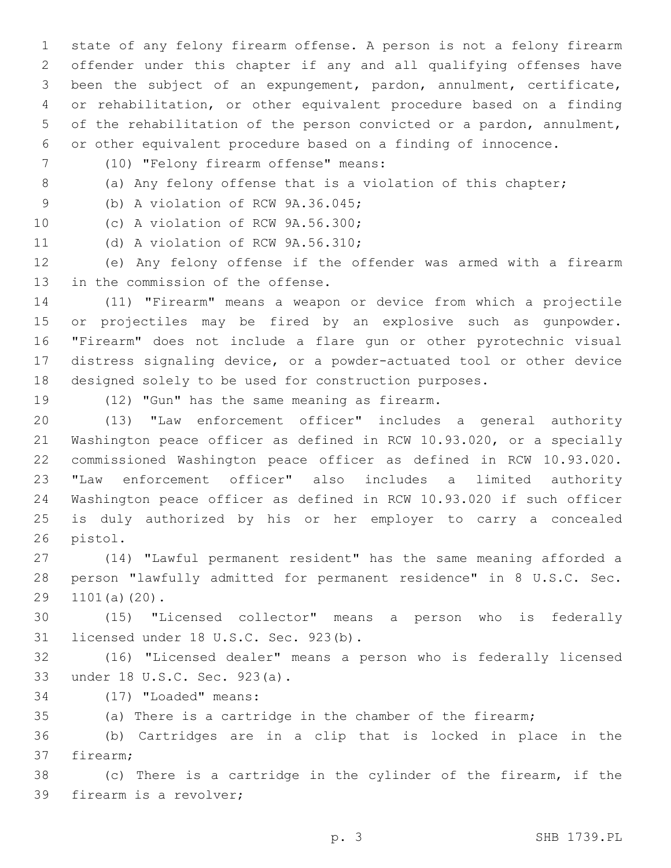state of any felony firearm offense. A person is not a felony firearm offender under this chapter if any and all qualifying offenses have been the subject of an expungement, pardon, annulment, certificate, or rehabilitation, or other equivalent procedure based on a finding of the rehabilitation of the person convicted or a pardon, annulment, or other equivalent procedure based on a finding of innocence.

- (10) "Felony firearm offense" means:7
- 

8 (a) Any felony offense that is a violation of this chapter;

9 (b) A violation of RCW 9A.36.045;

10 (c) A violation of RCW 9A.56.300;

11 (d) A violation of RCW 9A.56.310;

 (e) Any felony offense if the offender was armed with a firearm 13 in the commission of the offense.

 (11) "Firearm" means a weapon or device from which a projectile or projectiles may be fired by an explosive such as gunpowder. "Firearm" does not include a flare gun or other pyrotechnic visual distress signaling device, or a powder-actuated tool or other device designed solely to be used for construction purposes.

19 (12) "Gun" has the same meaning as firearm.

 (13) "Law enforcement officer" includes a general authority Washington peace officer as defined in RCW 10.93.020, or a specially commissioned Washington peace officer as defined in RCW 10.93.020. "Law enforcement officer" also includes a limited authority Washington peace officer as defined in RCW 10.93.020 if such officer is duly authorized by his or her employer to carry a concealed 26 pistol.

 (14) "Lawful permanent resident" has the same meaning afforded a person "lawfully admitted for permanent residence" in 8 U.S.C. Sec. 29 1101(a)(20).

 (15) "Licensed collector" means a person who is federally 31 licensed under 18 U.S.C. Sec. 923(b).

 (16) "Licensed dealer" means a person who is federally licensed 33 under 18 U.S.C. Sec. 923(a).

- 34 (17) "Loaded" means:
- (a) There is a cartridge in the chamber of the firearm;

 (b) Cartridges are in a clip that is locked in place in the 37 firearm;

 (c) There is a cartridge in the cylinder of the firearm, if the 39 firearm is a revolver;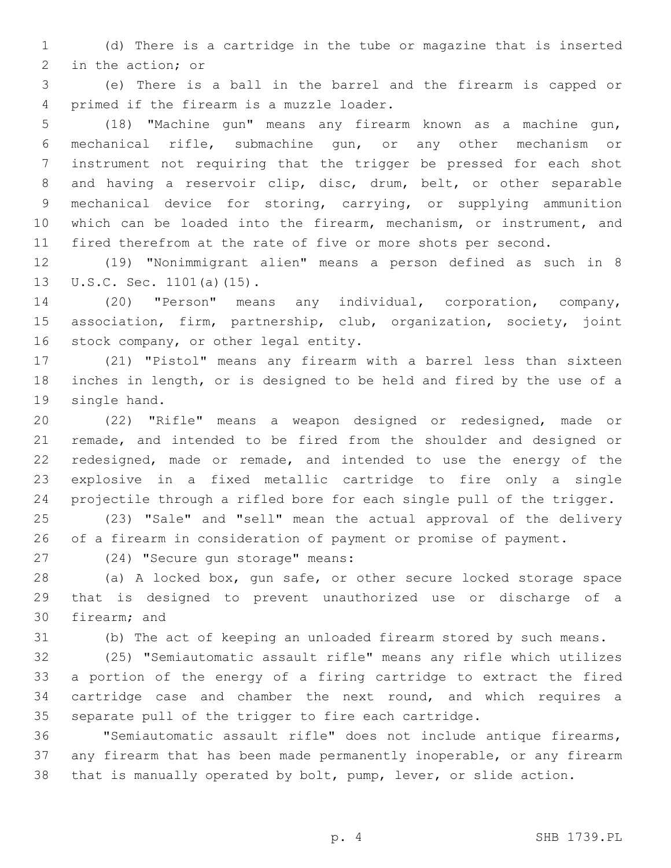(d) There is a cartridge in the tube or magazine that is inserted 2 in the action; or

 (e) There is a ball in the barrel and the firearm is capped or 4 primed if the firearm is a muzzle loader.

 (18) "Machine gun" means any firearm known as a machine gun, mechanical rifle, submachine gun, or any other mechanism or instrument not requiring that the trigger be pressed for each shot and having a reservoir clip, disc, drum, belt, or other separable mechanical device for storing, carrying, or supplying ammunition which can be loaded into the firearm, mechanism, or instrument, and fired therefrom at the rate of five or more shots per second.

 (19) "Nonimmigrant alien" means a person defined as such in 8 13 U.S.C. Sec. 1101(a)(15).

 (20) "Person" means any individual, corporation, company, association, firm, partnership, club, organization, society, joint 16 stock company, or other legal entity.

 (21) "Pistol" means any firearm with a barrel less than sixteen inches in length, or is designed to be held and fired by the use of a 19 single hand.

 (22) "Rifle" means a weapon designed or redesigned, made or remade, and intended to be fired from the shoulder and designed or redesigned, made or remade, and intended to use the energy of the explosive in a fixed metallic cartridge to fire only a single projectile through a rifled bore for each single pull of the trigger.

 (23) "Sale" and "sell" mean the actual approval of the delivery of a firearm in consideration of payment or promise of payment.

27 (24) "Secure gun storage" means:

 (a) A locked box, gun safe, or other secure locked storage space that is designed to prevent unauthorized use or discharge of a 30 firearm; and

(b) The act of keeping an unloaded firearm stored by such means.

 (25) "Semiautomatic assault rifle" means any rifle which utilizes a portion of the energy of a firing cartridge to extract the fired cartridge case and chamber the next round, and which requires a separate pull of the trigger to fire each cartridge.

 "Semiautomatic assault rifle" does not include antique firearms, any firearm that has been made permanently inoperable, or any firearm that is manually operated by bolt, pump, lever, or slide action.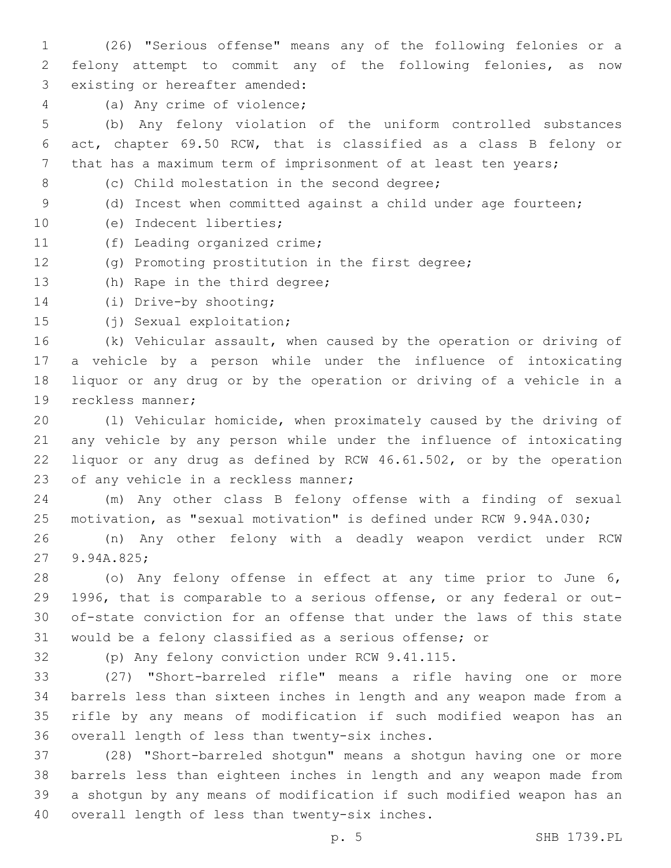(26) "Serious offense" means any of the following felonies or a felony attempt to commit any of the following felonies, as now 3 existing or hereafter amended:

4 (a) Any crime of violence;

 (b) Any felony violation of the uniform controlled substances act, chapter 69.50 RCW, that is classified as a class B felony or that has a maximum term of imprisonment of at least ten years;

8 (c) Child molestation in the second degree;

9 (d) Incest when committed against a child under age fourteen;

- 10 (e) Indecent liberties;
- 11 (f) Leading organized crime;
- (g) Promoting prostitution in the first degree;
- 13 (h) Rape in the third degree;
- 14 (i) Drive-by shooting;
- 15 (j) Sexual exploitation;

 (k) Vehicular assault, when caused by the operation or driving of a vehicle by a person while under the influence of intoxicating liquor or any drug or by the operation or driving of a vehicle in a 19 reckless manner;

 (l) Vehicular homicide, when proximately caused by the driving of any vehicle by any person while under the influence of intoxicating liquor or any drug as defined by RCW 46.61.502, or by the operation 23 of any vehicle in a reckless manner;

 (m) Any other class B felony offense with a finding of sexual motivation, as "sexual motivation" is defined under RCW 9.94A.030;

 (n) Any other felony with a deadly weapon verdict under RCW 27 9.94A.825;

 (o) Any felony offense in effect at any time prior to June 6, 1996, that is comparable to a serious offense, or any federal or out- of-state conviction for an offense that under the laws of this state would be a felony classified as a serious offense; or

32 (p) Any felony conviction under RCW 9.41.115.

 (27) "Short-barreled rifle" means a rifle having one or more barrels less than sixteen inches in length and any weapon made from a rifle by any means of modification if such modified weapon has an 36 overall length of less than twenty-six inches.

 (28) "Short-barreled shotgun" means a shotgun having one or more barrels less than eighteen inches in length and any weapon made from a shotgun by any means of modification if such modified weapon has an 40 overall length of less than twenty-six inches.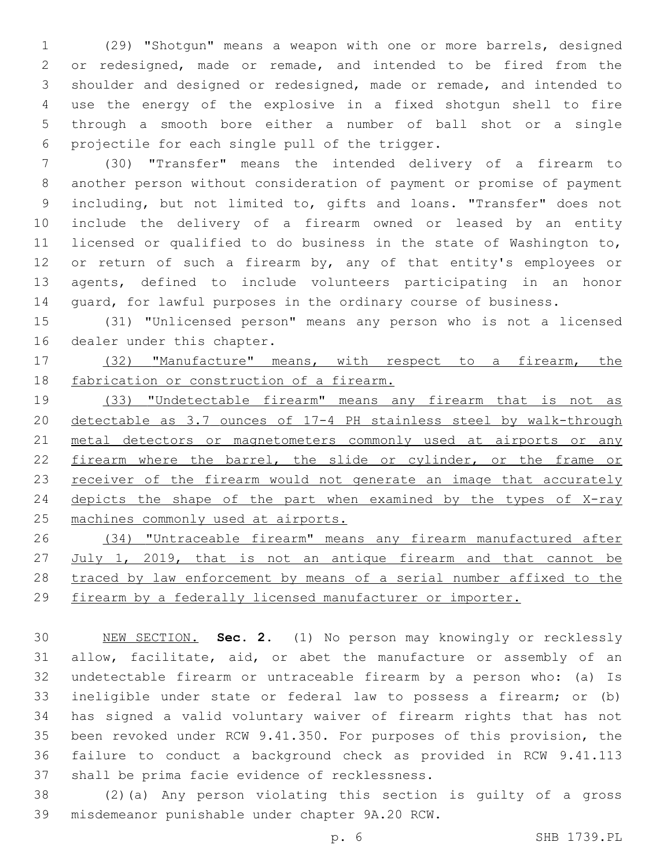(29) "Shotgun" means a weapon with one or more barrels, designed or redesigned, made or remade, and intended to be fired from the shoulder and designed or redesigned, made or remade, and intended to use the energy of the explosive in a fixed shotgun shell to fire through a smooth bore either a number of ball shot or a single 6 projectile for each single pull of the trigger.

 (30) "Transfer" means the intended delivery of a firearm to another person without consideration of payment or promise of payment including, but not limited to, gifts and loans. "Transfer" does not include the delivery of a firearm owned or leased by an entity licensed or qualified to do business in the state of Washington to, 12 or return of such a firearm by, any of that entity's employees or agents, defined to include volunteers participating in an honor guard, for lawful purposes in the ordinary course of business.

 (31) "Unlicensed person" means any person who is not a licensed 16 dealer under this chapter.

 (32) "Manufacture" means, with respect to a firearm, the 18 fabrication or construction of a firearm.

 (33) "Undetectable firearm" means any firearm that is not as detectable as 3.7 ounces of 17-4 PH stainless steel by walk-through 21 metal detectors or magnetometers commonly used at airports or any 22 firearm where the barrel, the slide or cylinder, or the frame or 23 receiver of the firearm would not generate an image that accurately 24 depicts the shape of the part when examined by the types of X-ray machines commonly used at airports.

 (34) "Untraceable firearm" means any firearm manufactured after July 1, 2019, that is not an antique firearm and that cannot be traced by law enforcement by means of a serial number affixed to the firearm by a federally licensed manufacturer or importer.

 NEW SECTION. **Sec. 2.** (1) No person may knowingly or recklessly allow, facilitate, aid, or abet the manufacture or assembly of an undetectable firearm or untraceable firearm by a person who: (a) Is ineligible under state or federal law to possess a firearm; or (b) has signed a valid voluntary waiver of firearm rights that has not been revoked under RCW 9.41.350. For purposes of this provision, the failure to conduct a background check as provided in RCW 9.41.113 shall be prima facie evidence of recklessness.

 (2)(a) Any person violating this section is guilty of a gross 39 misdemeanor punishable under chapter 9A.20 RCW.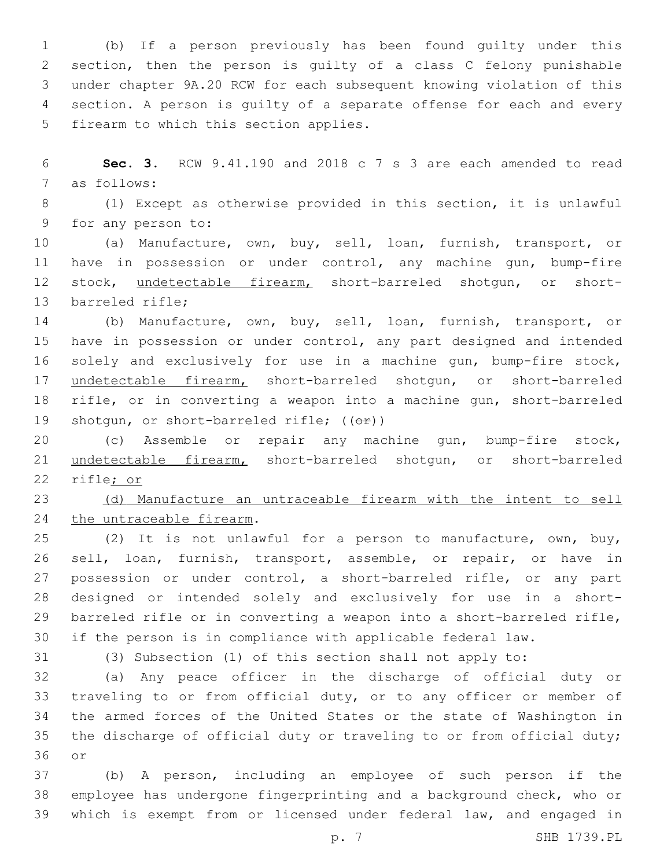(b) If a person previously has been found guilty under this section, then the person is guilty of a class C felony punishable under chapter 9A.20 RCW for each subsequent knowing violation of this section. A person is guilty of a separate offense for each and every 5 firearm to which this section applies.

 **Sec. 3.** RCW 9.41.190 and 2018 c 7 s 3 are each amended to read 7 as follows:

 (1) Except as otherwise provided in this section, it is unlawful 9 for any person to:

 (a) Manufacture, own, buy, sell, loan, furnish, transport, or have in possession or under control, any machine gun, bump-fire 12 stock, undetectable firearm, short-barreled shotgun, or short-13 barreled rifle;

 (b) Manufacture, own, buy, sell, loan, furnish, transport, or have in possession or under control, any part designed and intended solely and exclusively for use in a machine gun, bump-fire stock, undetectable firearm, short-barreled shotgun, or short-barreled rifle, or in converting a weapon into a machine gun, short-barreled 19 shotgun, or short-barreled rifle;  $((\theta \cdot \hat{r}))$ 

 (c) Assemble or repair any machine gun, bump-fire stock, undetectable firearm, short-barreled shotgun, or short-barreled rifle; or

 (d) Manufacture an untraceable firearm with the intent to sell 24 the untraceable firearm.

 (2) It is not unlawful for a person to manufacture, own, buy, sell, loan, furnish, transport, assemble, or repair, or have in 27 possession or under control, a short-barreled rifle, or any part designed or intended solely and exclusively for use in a short- barreled rifle or in converting a weapon into a short-barreled rifle, if the person is in compliance with applicable federal law.

(3) Subsection (1) of this section shall not apply to:

 (a) Any peace officer in the discharge of official duty or traveling to or from official duty, or to any officer or member of the armed forces of the United States or the state of Washington in the discharge of official duty or traveling to or from official duty; 36 or

 (b) A person, including an employee of such person if the employee has undergone fingerprinting and a background check, who or which is exempt from or licensed under federal law, and engaged in

p. 7 SHB 1739.PL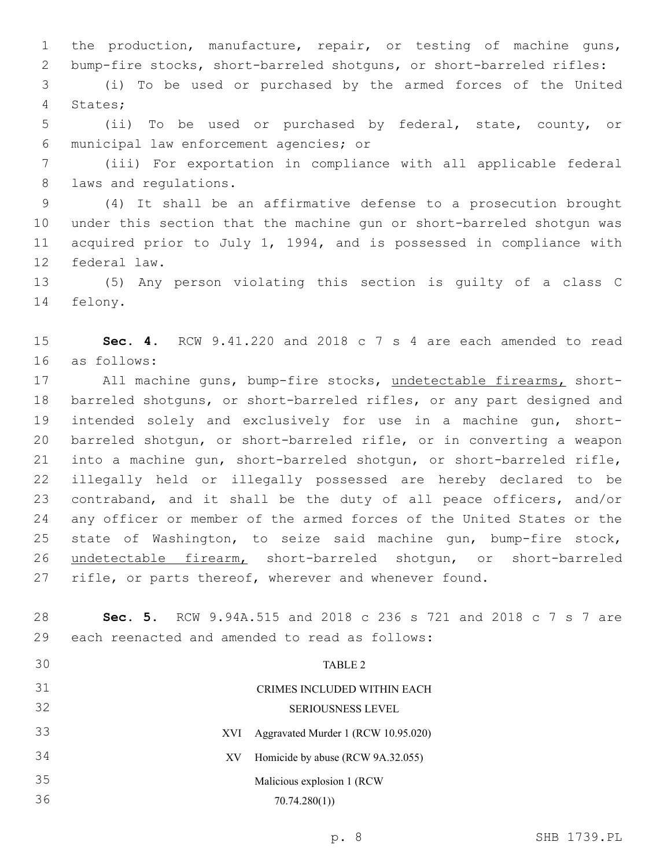the production, manufacture, repair, or testing of machine guns, bump-fire stocks, short-barreled shotguns, or short-barreled rifles:

 (i) To be used or purchased by the armed forces of the United 4 States;

 (ii) To be used or purchased by federal, state, county, or municipal law enforcement agencies; or6

 (iii) For exportation in compliance with all applicable federal 8 laws and regulations.

 (4) It shall be an affirmative defense to a prosecution brought under this section that the machine gun or short-barreled shotgun was acquired prior to July 1, 1994, and is possessed in compliance with 12 federal law.

 (5) Any person violating this section is guilty of a class C 14 felony.

 **Sec. 4.** RCW 9.41.220 and 2018 c 7 s 4 are each amended to read as follows:16

17 All machine guns, bump-fire stocks, undetectable firearms, short- barreled shotguns, or short-barreled rifles, or any part designed and intended solely and exclusively for use in a machine gun, short- barreled shotgun, or short-barreled rifle, or in converting a weapon into a machine gun, short-barreled shotgun, or short-barreled rifle, illegally held or illegally possessed are hereby declared to be contraband, and it shall be the duty of all peace officers, and/or any officer or member of the armed forces of the United States or the state of Washington, to seize said machine gun, bump-fire stock, undetectable firearm, short-barreled shotgun, or short-barreled rifle, or parts thereof, wherever and whenever found.

 **Sec. 5.** RCW 9.94A.515 and 2018 c 236 s 721 and 2018 c 7 s 7 are 29 each reenacted and amended to read as follows: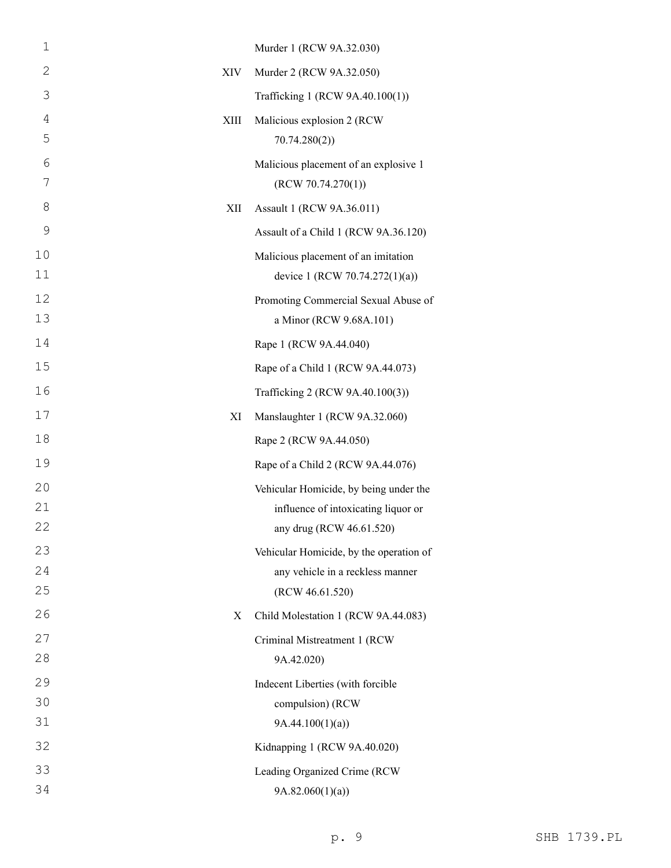| $\mathbf 1$    |      | Murder 1 (RCW 9A.32.030)                                              |
|----------------|------|-----------------------------------------------------------------------|
| 2              | XIV  | Murder 2 (RCW 9A.32.050)                                              |
| 3              |      | Trafficking 1 (RCW 9A.40.100(1))                                      |
| $\overline{4}$ | XIII | Malicious explosion 2 (RCW                                            |
| 5              |      | 70.74.280(2)                                                          |
| 6<br>7         |      | Malicious placement of an explosive 1<br>(RCW 70.74.270(1))           |
| 8              | XII  | Assault 1 (RCW 9A.36.011)                                             |
| 9              |      | Assault of a Child 1 (RCW 9A.36.120)                                  |
| 10<br>11       |      | Malicious placement of an imitation<br>device 1 (RCW 70.74.272(1)(a)) |
| 12<br>13       |      | Promoting Commercial Sexual Abuse of<br>a Minor (RCW 9.68A.101)       |
| 14             |      | Rape 1 (RCW 9A.44.040)                                                |
| 15             |      | Rape of a Child 1 (RCW 9A.44.073)                                     |
| 16             |      | Trafficking 2 (RCW 9A.40.100(3))                                      |
| 17             | XI   | Manslaughter 1 (RCW 9A.32.060)                                        |
| 18             |      | Rape 2 (RCW 9A.44.050)                                                |
| 19             |      | Rape of a Child 2 (RCW 9A.44.076)                                     |
| 20             |      | Vehicular Homicide, by being under the                                |
| 21             |      | influence of intoxicating liquor or                                   |
| 22             |      | any drug (RCW 46.61.520)                                              |
| 23             |      | Vehicular Homicide, by the operation of                               |
| 24<br>25       |      | any vehicle in a reckless manner<br>(RCW 46.61.520)                   |
| 26             | X    | Child Molestation 1 (RCW 9A.44.083)                                   |
| 27             |      | Criminal Mistreatment 1 (RCW                                          |
| 28             |      | 9A.42.020)                                                            |
| 29             |      | Indecent Liberties (with forcible                                     |
| 30             |      | compulsion) (RCW                                                      |
| 31             |      | 9A.44.100(1)(a)                                                       |
| 32             |      | Kidnapping 1 (RCW 9A.40.020)                                          |
| 33             |      | Leading Organized Crime (RCW                                          |
| 34             |      | 9A.82.060(1)(a)                                                       |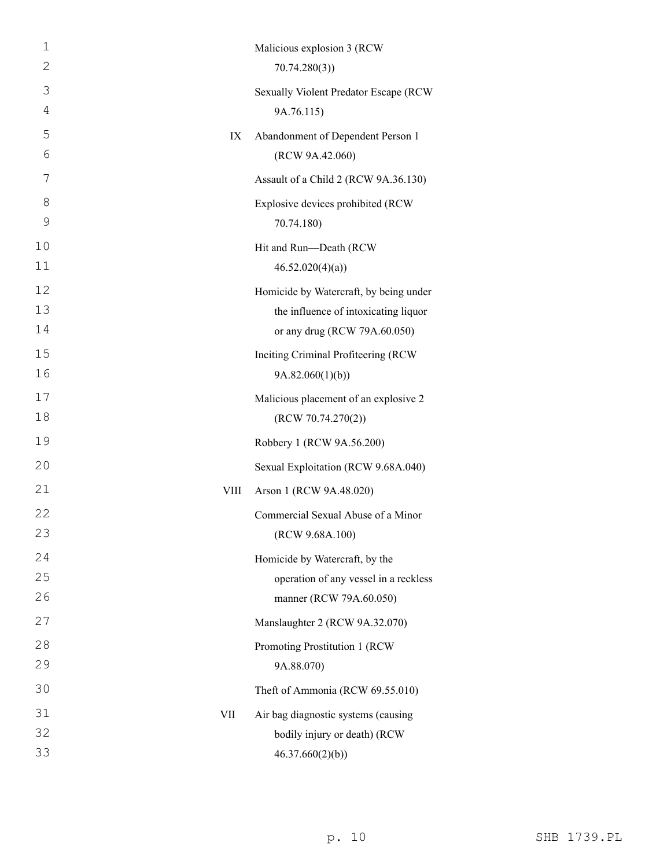| 1  |      | Malicious explosion 3 (RCW             |
|----|------|----------------------------------------|
| 2  |      | 70.74.280(3)                           |
| 3  |      | Sexually Violent Predator Escape (RCW  |
| 4  |      | 9A.76.115)                             |
| 5  | IX   | Abandonment of Dependent Person 1      |
| 6  |      | (RCW 9A.42.060)                        |
| 7  |      | Assault of a Child 2 (RCW 9A.36.130)   |
| 8  |      | Explosive devices prohibited (RCW      |
| 9  |      | 70.74.180)                             |
| 10 |      | Hit and Run-Death (RCW                 |
| 11 |      | 46.52.020(4)(a)                        |
| 12 |      | Homicide by Watercraft, by being under |
| 13 |      | the influence of intoxicating liquor   |
| 14 |      | or any drug (RCW 79A.60.050)           |
| 15 |      | Inciting Criminal Profiteering (RCW    |
| 16 |      | 9A.82.060(1)(b))                       |
| 17 |      | Malicious placement of an explosive 2  |
| 18 |      | (RCW 70.74.270(2))                     |
| 19 |      | Robbery 1 (RCW 9A.56.200)              |
| 20 |      | Sexual Exploitation (RCW 9.68A.040)    |
| 21 | VIII | Arson 1 (RCW 9A.48.020)                |
| 22 |      | Commercial Sexual Abuse of a Minor     |
| 23 |      | (RCW 9.68A.100)                        |
| 24 |      | Homicide by Watercraft, by the         |
| 25 |      | operation of any vessel in a reckless  |
| 26 |      | manner (RCW 79A.60.050)                |
| 27 |      | Manslaughter 2 (RCW 9A.32.070)         |
| 28 |      | Promoting Prostitution 1 (RCW          |
| 29 |      | 9A.88.070)                             |
| 30 |      | Theft of Ammonia (RCW 69.55.010)       |
| 31 | VII  | Air bag diagnostic systems (causing    |
| 32 |      | bodily injury or death) (RCW           |
| 33 |      | 46.37.660(2)(b)                        |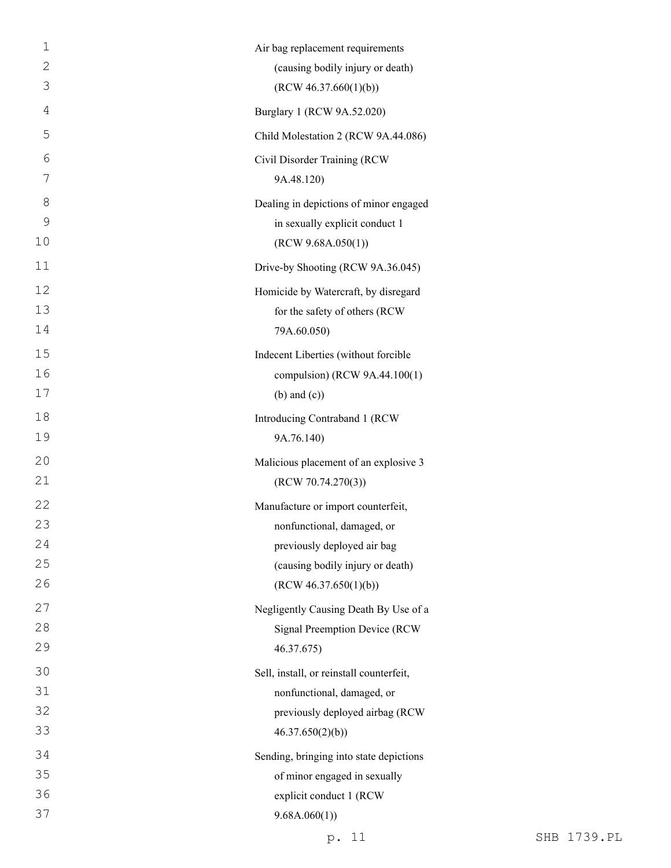| $\mathbf 1$    | Air bag replacement requirements         |
|----------------|------------------------------------------|
| $\overline{2}$ | (causing bodily injury or death)         |
| 3              | (RCW 46.37.660(1)(b))                    |
| 4              | Burglary 1 (RCW 9A.52.020)               |
| 5              | Child Molestation 2 (RCW 9A.44.086)      |
| 6              | Civil Disorder Training (RCW             |
| 7              | 9A.48.120)                               |
| 8              | Dealing in depictions of minor engaged   |
| 9              | in sexually explicit conduct 1           |
| 10             | (RCW 9.68A.050(1))                       |
| 11             | Drive-by Shooting (RCW 9A.36.045)        |
| 12             | Homicide by Watercraft, by disregard     |
| 13             | for the safety of others (RCW            |
| 14             | 79A.60.050)                              |
| 15             | Indecent Liberties (without forcible     |
| 16             | compulsion) (RCW 9A.44.100(1)            |
| 17             | $(b)$ and $(c)$ )                        |
| 18             | Introducing Contraband 1 (RCW            |
| 19             | 9A.76.140)                               |
| 20             | Malicious placement of an explosive 3    |
| 21             | (RCW 70.74.270(3))                       |
| 22             | Manufacture or import counterfeit,       |
| 23             | nonfunctional, damaged, or               |
| 24             | previously deployed air bag              |
| 25             | (causing bodily injury or death)         |
| 26             | (RCW 46.37.650(1)(b))                    |
| 27             | Negligently Causing Death By Use of a    |
| 28             | Signal Preemption Device (RCW            |
| 29             | 46.37.675)                               |
| 30             | Sell, install, or reinstall counterfeit, |
| 31             | nonfunctional, damaged, or               |
| 32             | previously deployed airbag (RCW          |
| 33             | 46.37.650(2)(b)                          |
| 34             | Sending, bringing into state depictions  |
| 35             | of minor engaged in sexually             |
| 36             | explicit conduct 1 (RCW                  |
| 37             | 9.68A.060(1)                             |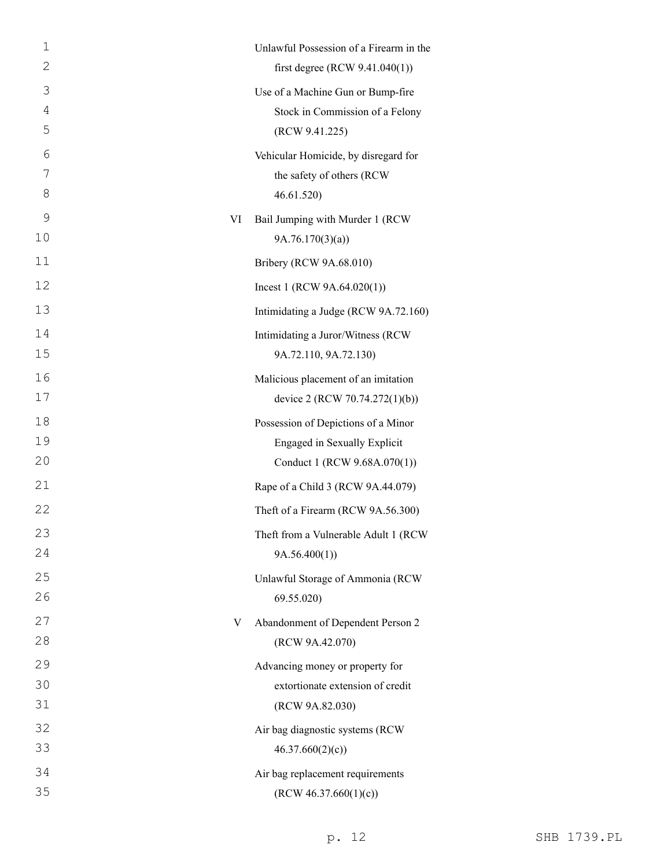| 1  |    | Unlawful Possession of a Firearm in the |
|----|----|-----------------------------------------|
| 2  |    | first degree (RCW $9.41.040(1)$ )       |
| 3  |    | Use of a Machine Gun or Bump-fire       |
| 4  |    | Stock in Commission of a Felony         |
| 5  |    | (RCW 9.41.225)                          |
| 6  |    | Vehicular Homicide, by disregard for    |
| 7  |    | the safety of others (RCW               |
| 8  |    | 46.61.520                               |
| 9  | VI | Bail Jumping with Murder 1 (RCW         |
| 10 |    | 9A.76.170(3)(a)                         |
| 11 |    | Bribery (RCW 9A.68.010)                 |
| 12 |    | Incest 1 (RCW $9A.64.020(1)$ )          |
| 13 |    | Intimidating a Judge (RCW 9A.72.160)    |
| 14 |    | Intimidating a Juror/Witness (RCW       |
| 15 |    | 9A.72.110, 9A.72.130)                   |
| 16 |    | Malicious placement of an imitation     |
| 17 |    | device 2 (RCW 70.74.272(1)(b))          |
| 18 |    | Possession of Depictions of a Minor     |
| 19 |    | Engaged in Sexually Explicit            |
| 20 |    | Conduct 1 (RCW 9.68A.070(1))            |
| 21 |    | Rape of a Child 3 (RCW 9A.44.079)       |
| 22 |    | Theft of a Firearm (RCW 9A.56.300)      |
| 23 |    | Theft from a Vulnerable Adult 1 (RCW    |
| 24 |    | 9A.56.400(1)                            |
| 25 |    | Unlawful Storage of Ammonia (RCW        |
| 26 |    | 69.55.020                               |
| 27 | V  | Abandonment of Dependent Person 2       |
| 28 |    | (RCW 9A.42.070)                         |
| 29 |    | Advancing money or property for         |
| 30 |    | extortionate extension of credit        |
| 31 |    | (RCW 9A.82.030)                         |
| 32 |    | Air bag diagnostic systems (RCW         |
| 33 |    | 46.37.660(2)(c)                         |
| 34 |    | Air bag replacement requirements        |
| 35 |    | (RCW 46.37.660(1)(c))                   |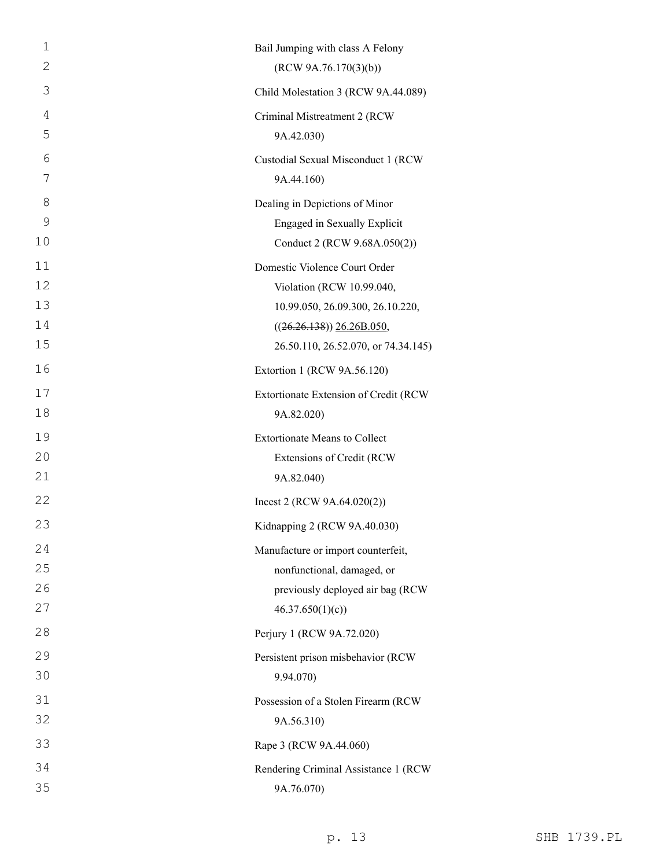| 1  | Bail Jumping with class A Felony      |
|----|---------------------------------------|
| 2  | (RCW 9A.76.170(3)(b))                 |
| 3  | Child Molestation 3 (RCW 9A.44.089)   |
| 4  | Criminal Mistreatment 2 (RCW          |
| 5  | 9A.42.030)                            |
| 6  | Custodial Sexual Misconduct 1 (RCW    |
| 7  | 9A.44.160)                            |
| 8  | Dealing in Depictions of Minor        |
| 9  | Engaged in Sexually Explicit          |
| 10 | Conduct 2 (RCW 9.68A.050(2))          |
| 11 | Domestic Violence Court Order         |
| 12 | Violation (RCW 10.99.040,             |
| 13 | 10.99.050, 26.09.300, 26.10.220,      |
| 14 | $((26.26.138))$ $26.26B.050$ ,        |
| 15 | 26.50.110, 26.52.070, or 74.34.145)   |
| 16 | Extortion 1 (RCW 9A.56.120)           |
| 17 | Extortionate Extension of Credit (RCW |
| 18 | 9A.82.020)                            |
| 19 | <b>Extortionate Means to Collect</b>  |
| 20 | Extensions of Credit (RCW             |
| 21 | 9A.82.040)                            |
| 22 | Incest 2 (RCW $9A.64.020(2)$ )        |
| 23 | Kidnapping 2 (RCW 9A.40.030)          |
| 24 | Manufacture or import counterfeit,    |
| 25 | nonfunctional, damaged, or            |
| 26 | previously deployed air bag (RCW      |
| 27 | 46.37.650(1)(c)                       |
| 28 | Perjury 1 (RCW 9A.72.020)             |
| 29 | Persistent prison misbehavior (RCW    |
| 30 | 9.94.070)                             |
| 31 | Possession of a Stolen Firearm (RCW   |
| 32 | 9A.56.310)                            |
| 33 | Rape 3 (RCW 9A.44.060)                |
| 34 | Rendering Criminal Assistance 1 (RCW  |
| 35 | 9A.76.070)                            |

p. 13 SHB 1739.PL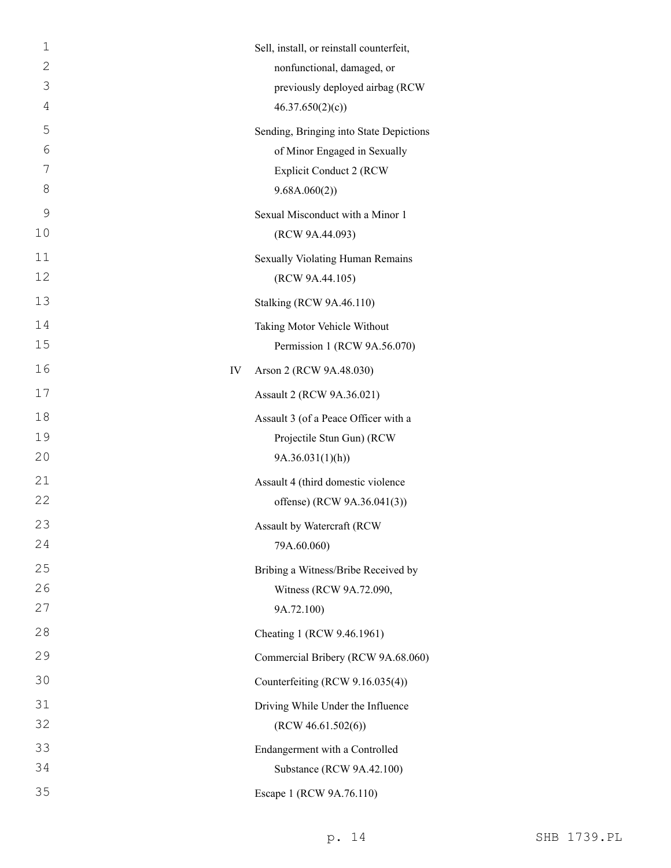| $\mathbf 1$ | Sell, install, or reinstall counterfeit, |
|-------------|------------------------------------------|
| 2           | nonfunctional, damaged, or               |
| 3           | previously deployed airbag (RCW          |
| 4           | 46.37.650(2)(c)                          |
| 5           | Sending, Bringing into State Depictions  |
| 6           | of Minor Engaged in Sexually             |
| 7           | <b>Explicit Conduct 2 (RCW)</b>          |
| 8           | 9.68A.060(2))                            |
| 9           | Sexual Misconduct with a Minor 1         |
| 10          | (RCW 9A.44.093)                          |
| 11          | Sexually Violating Human Remains         |
| 12          | (RCW 9A.44.105)                          |
| 13          | Stalking (RCW 9A.46.110)                 |
| 14          | Taking Motor Vehicle Without             |
| 15          | Permission 1 (RCW 9A.56.070)             |
| 16          | IV<br>Arson 2 (RCW 9A.48.030)            |
| 17          | Assault 2 (RCW 9A.36.021)                |
| 18          | Assault 3 (of a Peace Officer with a     |
| 19          | Projectile Stun Gun) (RCW                |
| 20          | 9A.36.031(1)(h)                          |
| 21          | Assault 4 (third domestic violence       |
| 22          | offense) (RCW 9A.36.041(3))              |
| 23          | Assault by Watercraft (RCW               |
| 24          | 79A.60.060)                              |
| 25          | Bribing a Witness/Bribe Received by      |
| 26          | Witness (RCW 9A.72.090,                  |
| 27          | 9A.72.100)                               |
| 28          | Cheating 1 (RCW 9.46.1961)               |
| 29          | Commercial Bribery (RCW 9A.68.060)       |
| 30          | Counterfeiting (RCW 9.16.035(4))         |
| 31          | Driving While Under the Influence        |
| 32          | (RCW 46.61.502(6))                       |
| 33          | Endangerment with a Controlled           |
| 34          | Substance (RCW 9A.42.100)                |
| 35          | Escape 1 (RCW 9A.76.110)                 |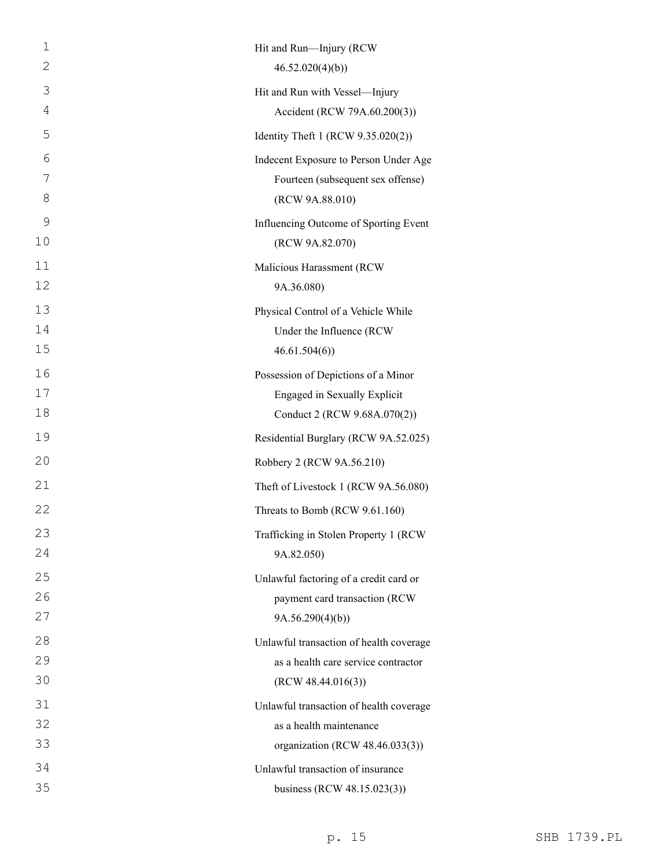| 1  | Hit and Run-Injury (RCW                 |
|----|-----------------------------------------|
| 2  | 46.52.020(4)(b)                         |
| 3  | Hit and Run with Vessel-Injury          |
| 4  | Accident (RCW 79A.60.200(3))            |
| 5  | Identity Theft 1 (RCW 9.35.020(2))      |
| 6  | Indecent Exposure to Person Under Age   |
| 7  | Fourteen (subsequent sex offense)       |
| 8  | (RCW 9A.88.010)                         |
| 9  | Influencing Outcome of Sporting Event   |
| 10 | (RCW 9A.82.070)                         |
| 11 | Malicious Harassment (RCW               |
| 12 | 9A.36.080)                              |
| 13 | Physical Control of a Vehicle While     |
| 14 | Under the Influence (RCW                |
| 15 | 46.61.504(6)                            |
| 16 | Possession of Depictions of a Minor     |
| 17 | Engaged in Sexually Explicit            |
| 18 | Conduct 2 (RCW 9.68A.070(2))            |
| 19 | Residential Burglary (RCW 9A.52.025)    |
| 20 | Robbery 2 (RCW 9A.56.210)               |
| 21 | Theft of Livestock 1 (RCW 9A.56.080)    |
| 22 | Threats to Bomb (RCW 9.61.160)          |
| 23 | Trafficking in Stolen Property 1 (RCW   |
| 24 | 9A.82.050)                              |
| 25 | Unlawful factoring of a credit card or  |
| 26 | payment card transaction (RCW           |
| 27 | 9A.56.290(4)(b)                         |
| 28 | Unlawful transaction of health coverage |
| 29 | as a health care service contractor     |
| 30 | (RCW 48.44.016(3))                      |
| 31 | Unlawful transaction of health coverage |
| 32 | as a health maintenance                 |
| 33 | organization (RCW 48.46.033(3))         |
| 34 | Unlawful transaction of insurance       |
| 35 | business (RCW 48.15.023(3))             |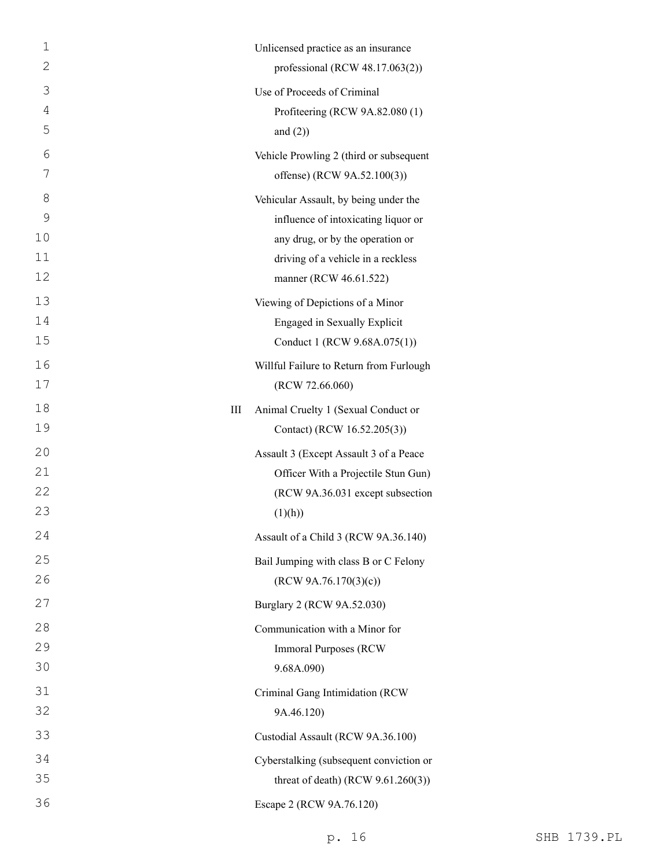| $\mathbf 1$  |   | Unlicensed practice as an insurance     |
|--------------|---|-----------------------------------------|
| $\mathbf{2}$ |   | professional (RCW $48.17.063(2)$ )      |
| 3            |   | Use of Proceeds of Criminal             |
| 4            |   | Profiteering (RCW 9A.82.080 (1)         |
| 5            |   | and $(2)$ )                             |
| 6            |   | Vehicle Prowling 2 (third or subsequent |
| 7            |   | offense) (RCW 9A.52.100(3))             |
| 8            |   | Vehicular Assault, by being under the   |
| 9            |   | influence of intoxicating liquor or     |
| 10           |   | any drug, or by the operation or        |
| 11           |   | driving of a vehicle in a reckless      |
| 12           |   | manner (RCW 46.61.522)                  |
| 13           |   | Viewing of Depictions of a Minor        |
| 14           |   | Engaged in Sexually Explicit            |
| 15           |   | Conduct 1 (RCW 9.68A.075(1))            |
| 16           |   | Willful Failure to Return from Furlough |
| 17           |   | (RCW 72.66.060)                         |
| 18           | Ш | Animal Cruelty 1 (Sexual Conduct or     |
| 19           |   | Contact) (RCW 16.52.205(3))             |
| 20           |   | Assault 3 (Except Assault 3 of a Peace  |
| 21           |   | Officer With a Projectile Stun Gun)     |
| 22           |   | (RCW 9A.36.031 except subsection        |
| 23           |   | (1)(h))                                 |
| 24           |   | Assault of a Child 3 (RCW 9A.36.140)    |
| 25           |   | Bail Jumping with class B or C Felony   |
| 26           |   | (RCW 9A.76.170(3)(c))                   |
| 27           |   | Burglary 2 (RCW 9A.52.030)              |
| 28           |   | Communication with a Minor for          |
| 29           |   | <b>Immoral Purposes (RCW)</b>           |
| 30           |   | 9.68A.090)                              |
| 31           |   | Criminal Gang Intimidation (RCW         |
| 32           |   | 9A.46.120)                              |
| 33           |   | Custodial Assault (RCW 9A.36.100)       |
| 34           |   | Cyberstalking (subsequent conviction or |
| 35           |   | threat of death) (RCW $9.61.260(3)$ )   |
| 36           |   | Escape 2 (RCW 9A.76.120)                |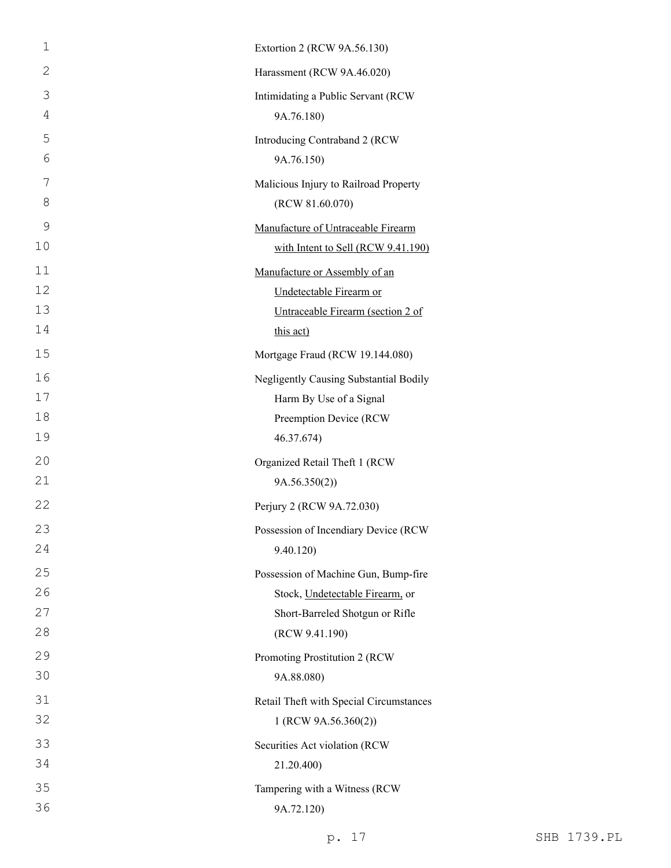| $\mathbf{1}$   | Extortion 2 (RCW 9A.56.130)             |
|----------------|-----------------------------------------|
| $\overline{2}$ | Harassment (RCW 9A.46.020)              |
| 3              | Intimidating a Public Servant (RCW      |
| 4              | 9A.76.180)                              |
| 5              | Introducing Contraband 2 (RCW           |
| 6              | 9A.76.150)                              |
| 7              | Malicious Injury to Railroad Property   |
| $8\,$          | (RCW 81.60.070)                         |
| 9              | Manufacture of Untraceable Firearm      |
| 10             | with Intent to Sell (RCW 9.41.190)      |
| 11             | Manufacture or Assembly of an           |
| 12             | Undetectable Firearm or                 |
| 13             | Untraceable Firearm (section 2 of       |
| 14             | this act)                               |
| 15             | Mortgage Fraud (RCW 19.144.080)         |
| 16             | Negligently Causing Substantial Bodily  |
| 17             | Harm By Use of a Signal                 |
| 18             | Preemption Device (RCW                  |
| 19             | 46.37.674)                              |
| 20             | Organized Retail Theft 1 (RCW           |
| 21             | 9A.56.350(2)                            |
| 22             | Perjury 2 (RCW 9A.72.030)               |
| 23             | Possession of Incendiary Device (RCW    |
| 24             | 9.40.120)                               |
| 25             | Possession of Machine Gun, Bump-fire    |
| 26             | Stock, Undetectable Firearm, or         |
| 27             | Short-Barreled Shotgun or Rifle         |
| 28             | (RCW 9.41.190)                          |
| 29             | Promoting Prostitution 2 (RCW           |
| 30             | 9A.88.080)                              |
| 31             | Retail Theft with Special Circumstances |
| 32             | 1 (RCW 9A.56.360(2))                    |
| 33             | Securities Act violation (RCW           |
| 34             | 21.20.400)                              |
| 35             | Tampering with a Witness (RCW           |
| 36             | 9A.72.120)                              |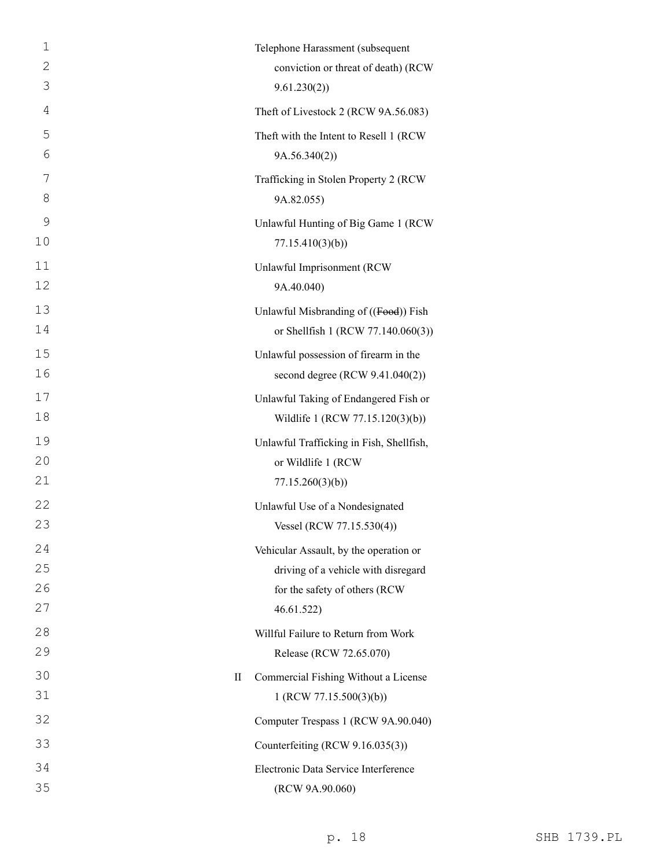| $\mathbf{1}$ | Telephone Harassment (subsequent                    |
|--------------|-----------------------------------------------------|
| $\mathbf{2}$ | conviction or threat of death) (RCW                 |
| 3            | 9.61.230(2)                                         |
| 4            | Theft of Livestock 2 (RCW 9A.56.083)                |
| 5            | Theft with the Intent to Resell 1 (RCW              |
| 6            | 9A.56.340(2)                                        |
| 7            | Trafficking in Stolen Property 2 (RCW               |
| 8            | 9A.82.055)                                          |
| 9            | Unlawful Hunting of Big Game 1 (RCW                 |
| 10           | 77.15.410(3)(b)                                     |
| 11           | Unlawful Imprisonment (RCW                          |
| 12           | 9A.40.040)                                          |
| 13           | Unlawful Misbranding of ((Food)) Fish               |
| 14           | or Shellfish 1 (RCW 77.140.060(3))                  |
| 15           | Unlawful possession of firearm in the               |
| 16           | second degree (RCW 9.41.040(2))                     |
| 17           | Unlawful Taking of Endangered Fish or               |
| 18           | Wildlife 1 (RCW 77.15.120(3)(b))                    |
| 19           | Unlawful Trafficking in Fish, Shellfish,            |
| 20           | or Wildlife 1 (RCW                                  |
| 21           | 77.15.260(3)(b)                                     |
| 22           | Unlawful Use of a Nondesignated                     |
| 23           | Vessel (RCW 77.15.530(4))                           |
| 24           | Vehicular Assault, by the operation or              |
| 25           | driving of a vehicle with disregard                 |
| 26           | for the safety of others (RCW                       |
| 27           | 46.61.522)                                          |
| 28           | Willful Failure to Return from Work                 |
| 29           | Release (RCW 72.65.070)                             |
| 30           | Commercial Fishing Without a License<br>$_{\rm II}$ |
| 31           | 1 (RCW 77.15.500(3)(b))                             |
| 32           | Computer Trespass 1 (RCW 9A.90.040)                 |
| 33           | Counterfeiting (RCW 9.16.035(3))                    |
| 34           | Electronic Data Service Interference                |
| 35           | (RCW 9A.90.060)                                     |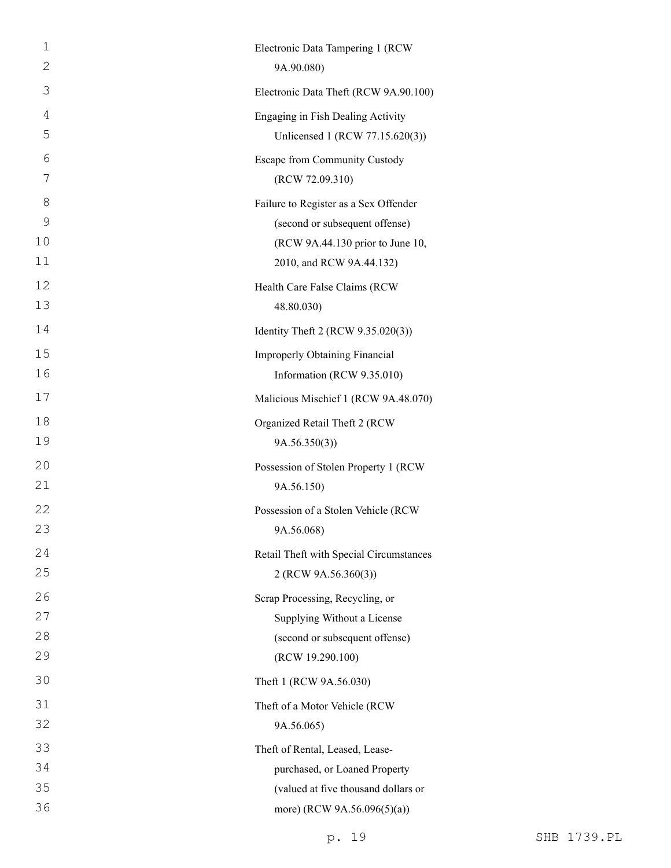| $\mathbf 1$ | Electronic Data Tampering 1 (RCW        |
|-------------|-----------------------------------------|
| 2           | 9A.90.080)                              |
| 3           | Electronic Data Theft (RCW 9A.90.100)   |
| 4           | Engaging in Fish Dealing Activity       |
| 5           | Unlicensed 1 (RCW 77.15.620(3))         |
| 6           | Escape from Community Custody           |
| 7           | (RCW 72.09.310)                         |
| 8           | Failure to Register as a Sex Offender   |
| 9           | (second or subsequent offense)          |
| 10          | (RCW 9A.44.130 prior to June 10,        |
| 11          | 2010, and RCW 9A.44.132)                |
| 12          | Health Care False Claims (RCW           |
| 13          | 48.80.030)                              |
| 14          | Identity Theft 2 (RCW 9.35.020(3))      |
| 15          | Improperly Obtaining Financial          |
| 16          | Information (RCW 9.35.010)              |
| 17          | Malicious Mischief 1 (RCW 9A.48.070)    |
| 18          | Organized Retail Theft 2 (RCW           |
| 19          | 9A.56.350(3)                            |
| 20          | Possession of Stolen Property 1 (RCW    |
| 21          | 9A.56.150)                              |
| 22          | Possession of a Stolen Vehicle (RCW     |
| 23          | 9A.56.068)                              |
| 24          | Retail Theft with Special Circumstances |
| 25          | 2 (RCW 9A.56.360(3))                    |
| 26          | Scrap Processing, Recycling, or         |
| 27          | Supplying Without a License             |
| 28          | (second or subsequent offense)          |
| 29          | (RCW 19.290.100)                        |
| 30          | Theft 1 (RCW 9A.56.030)                 |
| 31          | Theft of a Motor Vehicle (RCW           |
| 32          | 9A.56.065)                              |
| 33          | Theft of Rental, Leased, Lease-         |
| 34          | purchased, or Loaned Property           |
| 35          | (valued at five thousand dollars or     |
| 36          | more) (RCW 9A.56.096(5)(a))             |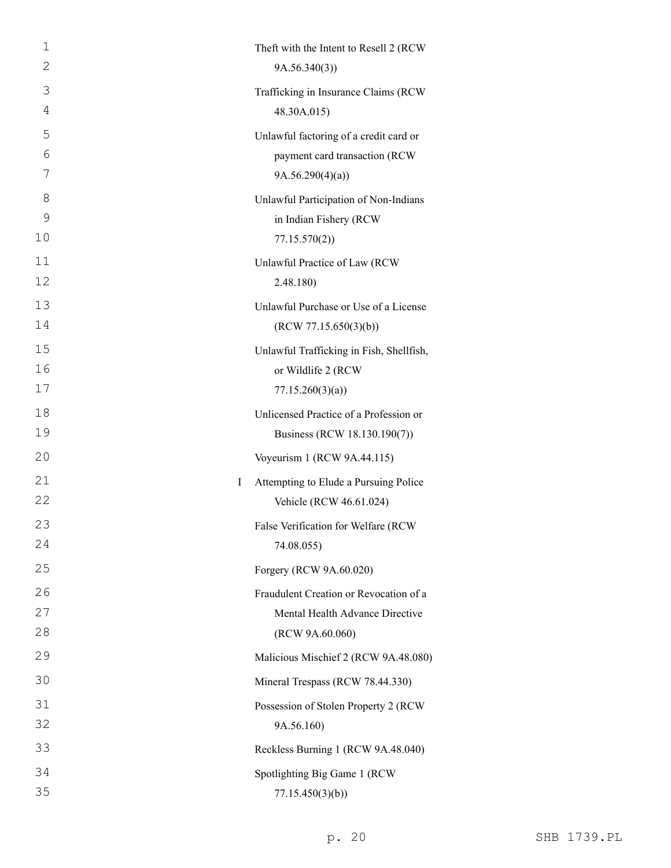| 1  |   | Theft with the Intent to Resell 2 (RCW)  |
|----|---|------------------------------------------|
| 2  |   | 9A.56.340(3)                             |
| 3  |   | Trafficking in Insurance Claims (RCW     |
| 4  |   | 48.30A.015)                              |
| 5  |   | Unlawful factoring of a credit card or   |
| 6  |   | payment card transaction (RCW            |
| 7  |   | 9A.56.290(4)(a)                          |
| 8  |   | Unlawful Participation of Non-Indians    |
| 9  |   | in Indian Fishery (RCW                   |
| 10 |   | 77.15.570(2)                             |
| 11 |   | Unlawful Practice of Law (RCW            |
| 12 |   | 2.48.180)                                |
| 13 |   | Unlawful Purchase or Use of a License    |
| 14 |   | (RCW 77.15.650(3)(b))                    |
| 15 |   | Unlawful Trafficking in Fish, Shellfish, |
| 16 |   | or Wildlife 2 (RCW                       |
| 17 |   | 77.15.260(3)(a)                          |
| 18 |   | Unlicensed Practice of a Profession or   |
| 19 |   | Business (RCW 18.130.190(7))             |
| 20 |   | Voyeurism 1 (RCW 9A.44.115)              |
| 21 | L | Attempting to Elude a Pursuing Police    |
| 22 |   | Vehicle (RCW 46.61.024)                  |
| 23 |   | False Verification for Welfare (RCW      |
| 24 |   | 74.08.055)                               |
| 25 |   | Forgery (RCW 9A.60.020)                  |
| 26 |   | Fraudulent Creation or Revocation of a   |
| 27 |   | Mental Health Advance Directive          |
| 28 |   | (RCW 9A.60.060)                          |
| 29 |   | Malicious Mischief 2 (RCW 9A.48.080)     |
| 30 |   | Mineral Trespass (RCW 78.44.330)         |
| 31 |   | Possession of Stolen Property 2 (RCW     |
| 32 |   | 9A.56.160)                               |
| 33 |   | Reckless Burning 1 (RCW 9A.48.040)       |
| 34 |   | Spotlighting Big Game 1 (RCW             |
| 35 |   | 77.15.450(3)(b)                          |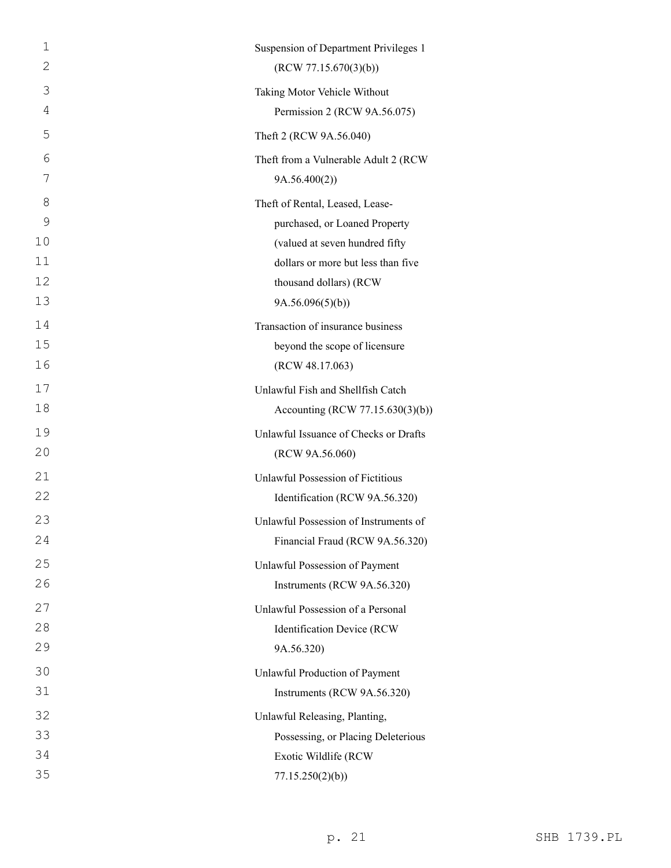| 1  | Suspension of Department Privileges 1 |
|----|---------------------------------------|
| 2  | (RCW 77.15.670(3)(b))                 |
| 3  | Taking Motor Vehicle Without          |
| 4  | Permission 2 (RCW 9A.56.075)          |
| 5  | Theft 2 (RCW 9A.56.040)               |
| 6  | Theft from a Vulnerable Adult 2 (RCW  |
| 7  | 9A.56.400(2))                         |
| 8  | Theft of Rental, Leased, Lease-       |
| 9  | purchased, or Loaned Property         |
| 10 | (valued at seven hundred fifty        |
| 11 | dollars or more but less than five    |
| 12 | thousand dollars) (RCW                |
| 13 | 9A.56.096(5)(b)                       |
| 14 | Transaction of insurance business     |
| 15 | beyond the scope of licensure         |
| 16 | (RCW 48.17.063)                       |
| 17 | Unlawful Fish and Shellfish Catch     |
| 18 | Accounting (RCW 77.15.630(3)(b))      |
| 19 | Unlawful Issuance of Checks or Drafts |
| 20 | (RCW 9A.56.060)                       |
| 21 | Unlawful Possession of Fictitious     |
| 22 | Identification (RCW 9A.56.320)        |
| 23 | Unlawful Possession of Instruments of |
| 24 | Financial Fraud (RCW 9A.56.320)       |
| 25 | Unlawful Possession of Payment        |
| 26 | Instruments (RCW 9A.56.320)           |
| 27 | Unlawful Possession of a Personal     |
| 28 | Identification Device (RCW            |
| 29 | 9A.56.320)                            |
| 30 | Unlawful Production of Payment        |
| 31 | Instruments (RCW 9A.56.320)           |
| 32 | Unlawful Releasing, Planting,         |
| 33 | Possessing, or Placing Deleterious    |
| 34 | Exotic Wildlife (RCW                  |
| 35 | 77.15.250(2)(b)                       |